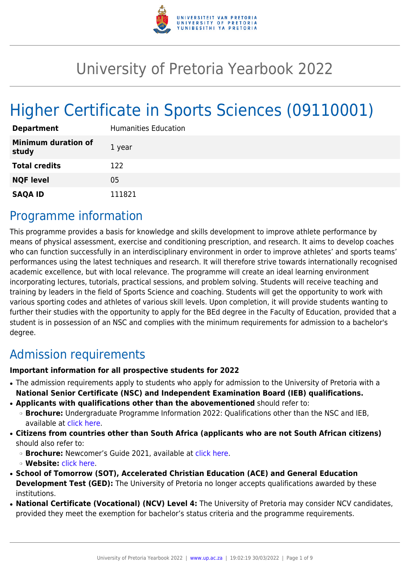

# University of Pretoria Yearbook 2022

# Higher Certificate in Sports Sciences (09110001)

| <b>Department</b>                   | <b>Humanities Education</b> |
|-------------------------------------|-----------------------------|
| <b>Minimum duration of</b><br>study | 1 year                      |
| <b>Total credits</b>                | 122                         |
| <b>NQF level</b>                    | 05                          |
| <b>SAQA ID</b>                      | 111821                      |

# Programme information

This programme provides a basis for knowledge and skills development to improve athlete performance by means of physical assessment, exercise and conditioning prescription, and research. It aims to develop coaches who can function successfully in an interdisciplinary environment in order to improve athletes' and sports teams' performances using the latest techniques and research. It will therefore strive towards internationally recognised academic excellence, but with local relevance. The programme will create an ideal learning environment incorporating lectures, tutorials, practical sessions, and problem solving. Students will receive teaching and training by leaders in the field of Sports Science and coaching. Students will get the opportunity to work with various sporting codes and athletes of various skill levels. Upon completion, it will provide students wanting to further their studies with the opportunity to apply for the BEd degree in the Faculty of Education, provided that a student is in possession of an NSC and complies with the minimum requirements for admission to a bachelor's degree.

# Admission requirements

#### **Important information for all prospective students for 2022**

- The admission requirements apply to students who apply for admission to the University of Pretoria with a **National Senior Certificate (NSC) and Independent Examination Board (IEB) qualifications.**
- **Applicants with qualifications other than the abovementioned** should refer to:
	- ❍ **Brochure:** Undergraduate Programme Information 2022: Qualifications other than the NSC and IEB, available at [click here.](https://www.up.ac.za/students/article/2749263/admission-information)
- **Citizens from countries other than South Africa (applicants who are not South African citizens)** should also refer to:
	- ❍ **Brochure:** Newcomer's Guide 2021, available at [click here.](https://www.up.ac.za/students/article/2749263/admission-information)
	- ❍ **Website:** [click here](http://www.up.ac.za/international-cooperation-division).
- **School of Tomorrow (SOT), Accelerated Christian Education (ACE) and General Education Development Test (GED):** The University of Pretoria no longer accepts qualifications awarded by these institutions.
- **National Certificate (Vocational) (NCV) Level 4:** The University of Pretoria may consider NCV candidates, provided they meet the exemption for bachelor's status criteria and the programme requirements.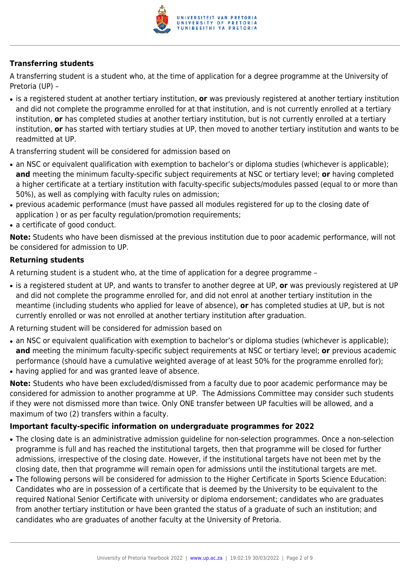

### **Transferring students**

A transferring student is a student who, at the time of application for a degree programme at the University of Pretoria (UP) –

● is a registered student at another tertiary institution, **or** was previously registered at another tertiary institution and did not complete the programme enrolled for at that institution, and is not currently enrolled at a tertiary institution, **or** has completed studies at another tertiary institution, but is not currently enrolled at a tertiary institution, **or** has started with tertiary studies at UP, then moved to another tertiary institution and wants to be readmitted at UP.

A transferring student will be considered for admission based on

- an NSC or equivalent qualification with exemption to bachelor's or diploma studies (whichever is applicable); **and** meeting the minimum faculty-specific subject requirements at NSC or tertiary level; **or** having completed a higher certificate at a tertiary institution with faculty-specific subjects/modules passed (equal to or more than 50%), as well as complying with faculty rules on admission;
- previous academic performance (must have passed all modules registered for up to the closing date of application ) or as per faculty regulation/promotion requirements;
- a certificate of good conduct.

**Note:** Students who have been dismissed at the previous institution due to poor academic performance, will not be considered for admission to UP.

#### **Returning students**

A returning student is a student who, at the time of application for a degree programme –

● is a registered student at UP, and wants to transfer to another degree at UP, **or** was previously registered at UP and did not complete the programme enrolled for, and did not enrol at another tertiary institution in the meantime (including students who applied for leave of absence), **or** has completed studies at UP, but is not currently enrolled or was not enrolled at another tertiary institution after graduation.

A returning student will be considered for admission based on

- an NSC or equivalent qualification with exemption to bachelor's or diploma studies (whichever is applicable); **and** meeting the minimum faculty-specific subject requirements at NSC or tertiary level; **or** previous academic performance (should have a cumulative weighted average of at least 50% for the programme enrolled for);
- having applied for and was granted leave of absence.

**Note:** Students who have been excluded/dismissed from a faculty due to poor academic performance may be considered for admission to another programme at UP. The Admissions Committee may consider such students if they were not dismissed more than twice. Only ONE transfer between UP faculties will be allowed, and a maximum of two (2) transfers within a faculty.

#### **Important faculty-specific information on undergraduate programmes for 2022**

- The closing date is an administrative admission guideline for non-selection programmes. Once a non-selection programme is full and has reached the institutional targets, then that programme will be closed for further admissions, irrespective of the closing date. However, if the institutional targets have not been met by the closing date, then that programme will remain open for admissions until the institutional targets are met.
- The following persons will be considered for admission to the Higher Certificate in Sports Science Education: Candidates who are in possession of a certificate that is deemed by the University to be equivalent to the required National Senior Certificate with university or diploma endorsement; candidates who are graduates from another tertiary institution or have been granted the status of a graduate of such an institution; and candidates who are graduates of another faculty at the University of Pretoria.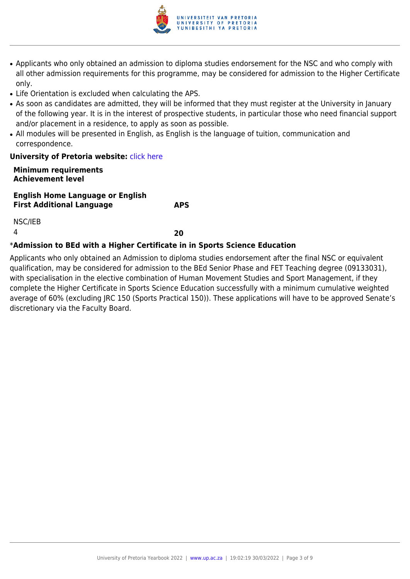

- Applicants who only obtained an admission to diploma studies endorsement for the NSC and who comply with all other admission requirements for this programme, may be considered for admission to the Higher Certificate only.
- Life Orientation is excluded when calculating the APS.
- As soon as candidates are admitted, they will be informed that they must register at the University in January of the following year. It is in the interest of prospective students, in particular those who need financial support and/or placement in a residence, to apply as soon as possible.
- All modules will be presented in English, as English is the language of tuition, communication and correspondence.

#### **University of Pretoria website: [click here](http://Www.up.ac.za/education)**

#### **Minimum requirements Achievement level**

**English Home Language or English First Additional Language APS**

NSC/IEB

4 **20**

#### \***Admission to BEd with a Higher Certificate in in Sports Science Education**

Applicants who only obtained an Admission to diploma studies endorsement after the final NSC or equivalent qualification, may be considered for admission to the BEd Senior Phase and FET Teaching degree (09133031), with specialisation in the elective combination of Human Movement Studies and Sport Management, if they complete the Higher Certificate in Sports Science Education successfully with a minimum cumulative weighted average of 60% (excluding JRC 150 (Sports Practical 150)). These applications will have to be approved Senate's discretionary via the Faculty Board.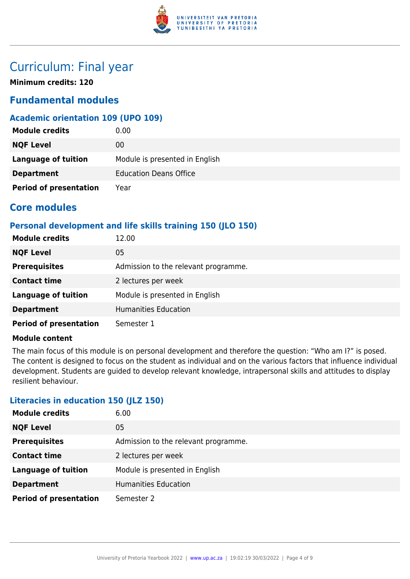

# Curriculum: Final year

**Minimum credits: 120**

## **Fundamental modules**

### **Academic orientation 109 (UPO 109)**

| <b>Module credits</b>         | 0.00                           |
|-------------------------------|--------------------------------|
| <b>NQF Level</b>              | 00                             |
| <b>Language of tuition</b>    | Module is presented in English |
| <b>Department</b>             | <b>Education Deans Office</b>  |
| <b>Period of presentation</b> | Year                           |

## **Core modules**

#### **Personal development and life skills training 150 (JLO 150)**

| <b>Module credits</b>         | 12.00                                |
|-------------------------------|--------------------------------------|
| <b>NQF Level</b>              | 05                                   |
| <b>Prerequisites</b>          | Admission to the relevant programme. |
| <b>Contact time</b>           | 2 lectures per week                  |
| <b>Language of tuition</b>    | Module is presented in English       |
| <b>Department</b>             | <b>Humanities Education</b>          |
| <b>Period of presentation</b> | Semester 1                           |

#### **Module content**

The main focus of this module is on personal development and therefore the question: "Who am I?" is posed. The content is designed to focus on the student as individual and on the various factors that influence individual development. Students are guided to develop relevant knowledge, intrapersonal skills and attitudes to display resilient behaviour.

#### **Literacies in education 150 (JLZ 150)**

| <b>Module credits</b>         | 6.00                                 |
|-------------------------------|--------------------------------------|
| <b>NQF Level</b>              | 05                                   |
| <b>Prerequisites</b>          | Admission to the relevant programme. |
| <b>Contact time</b>           | 2 lectures per week                  |
| <b>Language of tuition</b>    | Module is presented in English       |
| <b>Department</b>             | <b>Humanities Education</b>          |
| <b>Period of presentation</b> | Semester 2                           |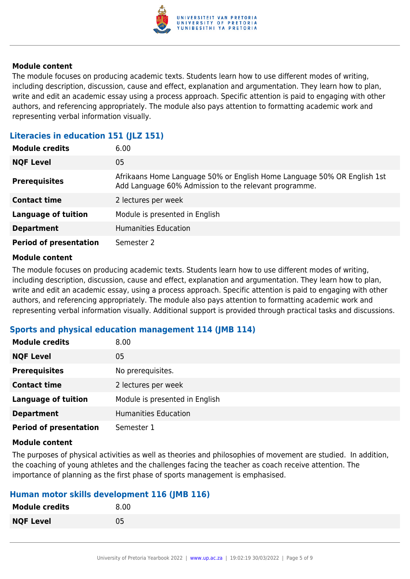

#### **Module content**

The module focuses on producing academic texts. Students learn how to use different modes of writing, including description, discussion, cause and effect, explanation and argumentation. They learn how to plan, write and edit an academic essay using a process approach. Specific attention is paid to engaging with other authors, and referencing appropriately. The module also pays attention to formatting academic work and representing verbal information visually.

#### **Literacies in education 151 (JLZ 151)**

| <b>Module credits</b>         | 6.00                                                                                                                             |
|-------------------------------|----------------------------------------------------------------------------------------------------------------------------------|
| <b>NQF Level</b>              | 05                                                                                                                               |
| <b>Prerequisites</b>          | Afrikaans Home Language 50% or English Home Language 50% OR English 1st<br>Add Language 60% Admission to the relevant programme. |
| <b>Contact time</b>           | 2 lectures per week                                                                                                              |
| <b>Language of tuition</b>    | Module is presented in English                                                                                                   |
| <b>Department</b>             | <b>Humanities Education</b>                                                                                                      |
| <b>Period of presentation</b> | Semester 2                                                                                                                       |

#### **Module content**

The module focuses on producing academic texts. Students learn how to use different modes of writing, including description, discussion, cause and effect, explanation and argumentation. They learn how to plan, write and edit an academic essay, using a process approach. Specific attention is paid to engaging with other authors, and referencing appropriately. The module also pays attention to formatting academic work and representing verbal information visually. Additional support is provided through practical tasks and discussions.

#### **Sports and physical education management 114 (JMB 114)**

| <b>Module credits</b>         | 8.00                           |
|-------------------------------|--------------------------------|
| <b>NQF Level</b>              | 05                             |
| <b>Prerequisites</b>          | No prerequisites.              |
| <b>Contact time</b>           | 2 lectures per week            |
| <b>Language of tuition</b>    | Module is presented in English |
| <b>Department</b>             | <b>Humanities Education</b>    |
| <b>Period of presentation</b> | Semester 1                     |

#### **Module content**

The purposes of physical activities as well as theories and philosophies of movement are studied. In addition, the coaching of young athletes and the challenges facing the teacher as coach receive attention. The importance of planning as the first phase of sports management is emphasised.

#### **Human motor skills development 116 (JMB 116)**

| <b>Module credits</b> | 8.00 |
|-----------------------|------|
| <b>NQF Level</b>      | 05   |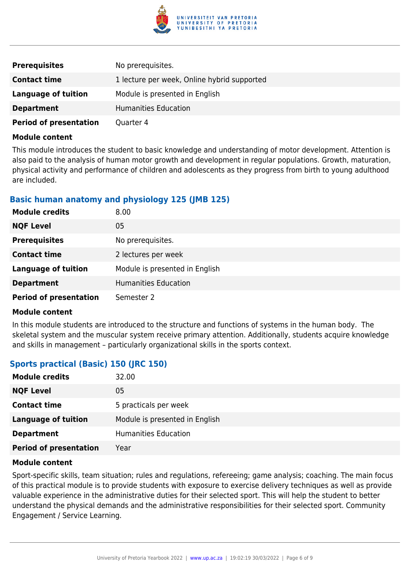

| <b>Prerequisites</b>          | No prerequisites.                           |
|-------------------------------|---------------------------------------------|
| <b>Contact time</b>           | 1 lecture per week, Online hybrid supported |
| Language of tuition           | Module is presented in English              |
| <b>Department</b>             | Humanities Education                        |
| <b>Period of presentation</b> | Quarter 4                                   |

#### **Module content**

This module introduces the student to basic knowledge and understanding of motor development. Attention is also paid to the analysis of human motor growth and development in regular populations. Growth, maturation, physical activity and performance of children and adolescents as they progress from birth to young adulthood are included.

#### **Basic human anatomy and physiology 125 (JMB 125)**

| <b>Module credits</b>         | 8.00                           |
|-------------------------------|--------------------------------|
| <b>NQF Level</b>              | 05                             |
| <b>Prerequisites</b>          | No prerequisites.              |
| <b>Contact time</b>           | 2 lectures per week            |
| <b>Language of tuition</b>    | Module is presented in English |
| <b>Department</b>             | <b>Humanities Education</b>    |
| <b>Period of presentation</b> | Semester 2                     |

#### **Module content**

In this module students are introduced to the structure and functions of systems in the human body. The skeletal system and the muscular system receive primary attention. Additionally, students acquire knowledge and skills in management – particularly organizational skills in the sports context.

#### **Sports practical (Basic) 150 (JRC 150)**

| <b>Module credits</b>         | 32.00                          |
|-------------------------------|--------------------------------|
| <b>NQF Level</b>              | 05                             |
| <b>Contact time</b>           | 5 practicals per week          |
| <b>Language of tuition</b>    | Module is presented in English |
| <b>Department</b>             | <b>Humanities Education</b>    |
| <b>Period of presentation</b> | Year                           |

#### **Module content**

Sport-specific skills, team situation; rules and regulations, refereeing; game analysis; coaching. The main focus of this practical module is to provide students with exposure to exercise delivery techniques as well as provide valuable experience in the administrative duties for their selected sport. This will help the student to better understand the physical demands and the administrative responsibilities for their selected sport. Community Engagement / Service Learning.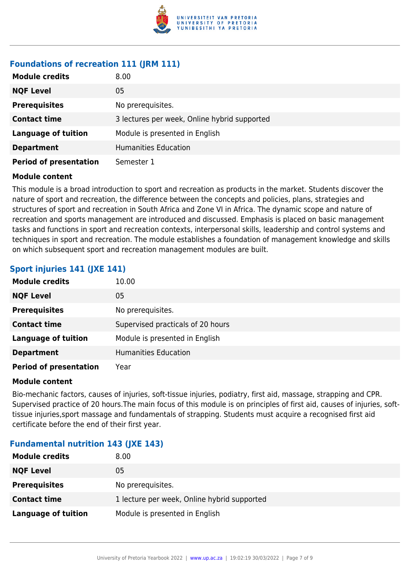

## **Foundations of recreation 111 (JRM 111)**

| <b>Module credits</b>         | 8.00                                         |
|-------------------------------|----------------------------------------------|
| <b>NQF Level</b>              | 05                                           |
| <b>Prerequisites</b>          | No prerequisites.                            |
| <b>Contact time</b>           | 3 lectures per week, Online hybrid supported |
| <b>Language of tuition</b>    | Module is presented in English               |
| <b>Department</b>             | Humanities Education                         |
| <b>Period of presentation</b> | Semester 1                                   |

#### **Module content**

This module is a broad introduction to sport and recreation as products in the market. Students discover the nature of sport and recreation, the difference between the concepts and policies, plans, strategies and structures of sport and recreation in South Africa and Zone VI in Africa. The dynamic scope and nature of recreation and sports management are introduced and discussed. Emphasis is placed on basic management tasks and functions in sport and recreation contexts, interpersonal skills, leadership and control systems and techniques in sport and recreation. The module establishes a foundation of management knowledge and skills on which subsequent sport and recreation management modules are built.

#### **Sport injuries 141 (JXE 141)**

| <b>Module credits</b>         | 10.00                             |
|-------------------------------|-----------------------------------|
| <b>NQF Level</b>              | 05                                |
| <b>Prerequisites</b>          | No prerequisites.                 |
| <b>Contact time</b>           | Supervised practicals of 20 hours |
| <b>Language of tuition</b>    | Module is presented in English    |
| <b>Department</b>             | <b>Humanities Education</b>       |
| <b>Period of presentation</b> | Year                              |

#### **Module content**

Bio-mechanic factors, causes of injuries, soft-tissue injuries, podiatry, first aid, massage, strapping and CPR. Supervised practice of 20 hours.The main focus of this module is on principles of first aid, causes of injuries, softtissue injuries,sport massage and fundamentals of strapping. Students must acquire a recognised first aid certificate before the end of their first year.

#### **Fundamental nutrition 143 (JXE 143)**

| <b>Module credits</b> | 8.00                                        |
|-----------------------|---------------------------------------------|
| <b>NQF Level</b>      | 05                                          |
| <b>Prerequisites</b>  | No prerequisites.                           |
| <b>Contact time</b>   | 1 lecture per week, Online hybrid supported |
| Language of tuition   | Module is presented in English              |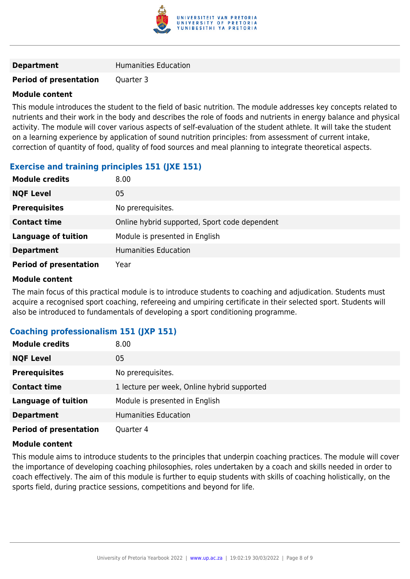

#### **Period of presentation** Quarter 3

#### **Module content**

This module introduces the student to the field of basic nutrition. The module addresses key concepts related to nutrients and their work in the body and describes the role of foods and nutrients in energy balance and physical activity. The module will cover various aspects of self-evaluation of the student athlete. It will take the student on a learning experience by application of sound nutrition principles: from assessment of current intake, correction of quantity of food, quality of food sources and meal planning to integrate theoretical aspects.

#### **Exercise and training principles 151 (JXE 151)**

| <b>Module credits</b>         | 8.00                                          |
|-------------------------------|-----------------------------------------------|
| <b>NQF Level</b>              | 05                                            |
| <b>Prerequisites</b>          | No prerequisites.                             |
| <b>Contact time</b>           | Online hybrid supported, Sport code dependent |
| <b>Language of tuition</b>    | Module is presented in English                |
| <b>Department</b>             | <b>Humanities Education</b>                   |
| <b>Period of presentation</b> | Year                                          |

#### **Module content**

The main focus of this practical module is to introduce students to coaching and adjudication. Students must acquire a recognised sport coaching, refereeing and umpiring certificate in their selected sport. Students will also be introduced to fundamentals of developing a sport conditioning programme.

#### **Coaching professionalism 151 (JXP 151)**

| <b>Module credits</b>         | 8.00                                        |
|-------------------------------|---------------------------------------------|
| <b>NQF Level</b>              | 05                                          |
| <b>Prerequisites</b>          | No prerequisites.                           |
| <b>Contact time</b>           | 1 lecture per week, Online hybrid supported |
| <b>Language of tuition</b>    | Module is presented in English              |
| <b>Department</b>             | <b>Humanities Education</b>                 |
| <b>Period of presentation</b> | Quarter 4                                   |

#### **Module content**

This module aims to introduce students to the principles that underpin coaching practices. The module will cover the importance of developing coaching philosophies, roles undertaken by a coach and skills needed in order to coach effectively. The aim of this module is further to equip students with skills of coaching holistically, on the sports field, during practice sessions, competitions and beyond for life.